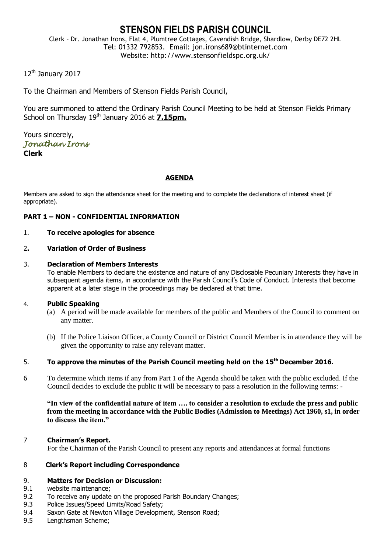# **STENSON FIELDS PARISH COUNCIL**

Clerk – Dr. Jonathan Irons, Flat 4, Plumtree Cottages, Cavendish Bridge, Shardlow, Derby DE72 2HL Tel: 01332 792853. Email: jon.irons689@btinternet.com Website: http://www.stensonfieldspc.org.uk/

12<sup>th</sup> January 2017

To the Chairman and Members of Stenson Fields Parish Council,

You are summoned to attend the Ordinary Parish Council Meeting to be held at Stenson Fields Primary School on Thursday 19<sup>th</sup> January 2016 at 7.15pm.

Yours sincerely, *Jonathan Irons*  **Clerk**

# **AGENDA**

Members are asked to sign the attendance sheet for the meeting and to complete the declarations of interest sheet (if appropriate).

# **PART 1 – NON - CONFIDENTIAL INFORMATION**

# 1. **To receive apologies for absence**

# 2**. Variation of Order of Business**

### 3. **Declaration of Members Interests**

To enable Members to declare the existence and nature of any Disclosable Pecuniary Interests they have in subsequent agenda items, in accordance with the Parish Council's Code of Conduct. Interests that become apparent at a later stage in the proceedings may be declared at that time.

# 4. **Public Speaking**

- (a) A period will be made available for members of the public and Members of the Council to comment on any matter.
- (b) If the Police Liaison Officer, a County Council or District Council Member is in attendance they will be given the opportunity to raise any relevant matter.

# 5. **To approve the minutes of the Parish Council meeting held on the 15th December 2016.**

6 To determine which items if any from Part 1 of the Agenda should be taken with the public excluded. If the Council decides to exclude the public it will be necessary to pass a resolution in the following terms: -

**"In view of the confidential nature of item …. to consider a resolution to exclude the press and public from the meeting in accordance with the Public Bodies (Admission to Meetings) Act 1960, s1, in order to discuss the item."** 

#### 7 **Chairman's Report.**

For the Chairman of the Parish Council to present any reports and attendances at formal functions

# 8 **Clerk's Report including Correspondence**

# 9. **Matters for Decision or Discussion:**

- 9.1 website maintenance;
- 9.2 To receive any update on the proposed Parish Boundary Changes;
- 9.3 Police Issues/Speed Limits/Road Safety;
- 9.4 Saxon Gate at Newton Village Development, Stenson Road;
- 9.5 Lengthsman Scheme;